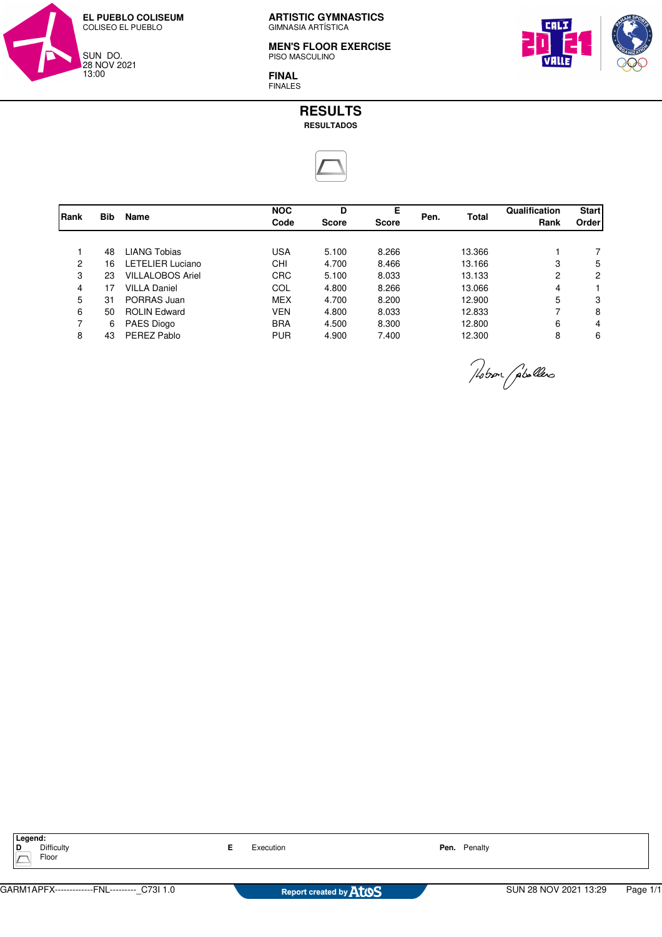

**MEN'S FLOOR EXERCISE** PISO MASCULINO



**FINAL** FINALES



|                |            | <b>Name</b>             | <b>NOC</b> | D            | Е            |      | <b>Total</b> | Qualification | <b>Start</b> |
|----------------|------------|-------------------------|------------|--------------|--------------|------|--------------|---------------|--------------|
| Rank           | <b>Bib</b> |                         | Code       | <b>Score</b> | <b>Score</b> | Pen. |              | Rank          | Order        |
|                |            |                         |            |              |              |      |              |               |              |
|                | 48         | <b>LIANG Tobias</b>     | <b>USA</b> | 5.100        | 8.266        |      | 13.366       |               |              |
| 2              | 16         | <b>LETELIER Luciano</b> | CHI        | 4.700        | 8.466        |      | 13.166       | 3             | 5            |
| 3              | 23         | <b>VILLALOBOS Ariel</b> | <b>CRC</b> | 5.100        | 8.033        |      | 13.133       | 2             | 2            |
| 4              | 17         | <b>VILLA Daniel</b>     | COL        | 4.800        | 8.266        |      | 13.066       | 4             |              |
| 5              | 31         | PORRAS Juan             | <b>MEX</b> | 4.700        | 8.200        |      | 12.900       | 5             | 3            |
| 6              | 50         | <b>ROLIN Edward</b>     | <b>VEN</b> | 4.800        | 8.033        |      | 12.833       | 7             | 8            |
| $\overline{ }$ | 6          | PAES Diogo              | <b>BRA</b> | 4.500        | 8.300        |      | 12.800       | 6             | 4            |
| 8              | 43         | PEREZ Pablo             | <b>PUR</b> | 4.900        | 7.400        |      | 12.300       | 8             | 6            |
|                |            |                         |            |              |              |      |              |               |              |

Probon (plallers

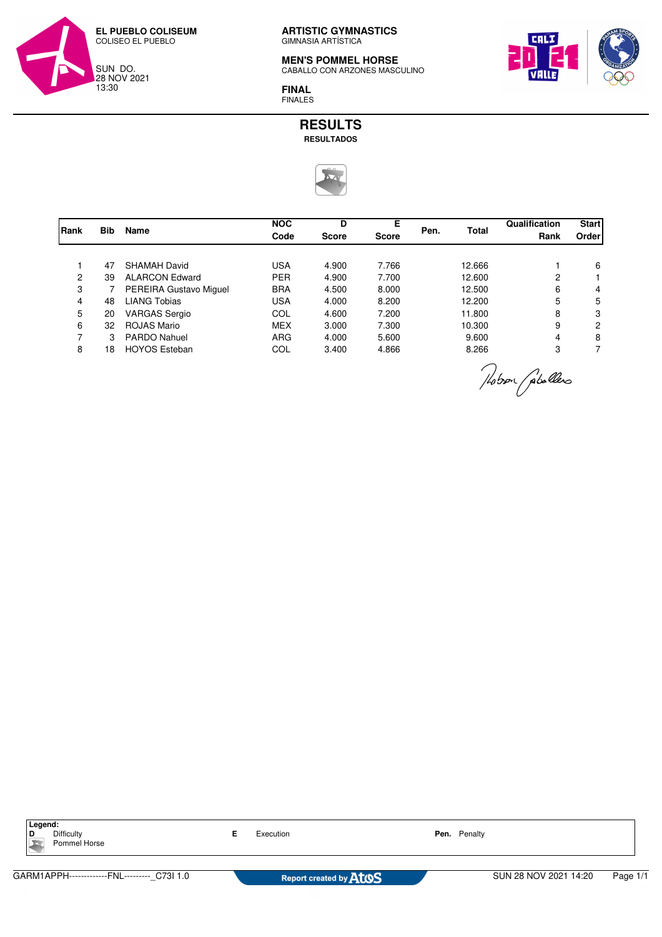

**MEN'S POMMEL HORSE** CABALLO CON ARZONES MASCULINO



**FINAL** FINALES

## **RESULTS RESULTADOS**



| <b>Bib</b> | <b>Name</b>            | <b>NOC</b><br>Code | D<br><b>Score</b> | Е<br><b>Score</b> | Pen. | <b>Total</b> | Qualification<br>Rank | <b>Start</b><br>Order |
|------------|------------------------|--------------------|-------------------|-------------------|------|--------------|-----------------------|-----------------------|
|            |                        |                    |                   |                   |      |              |                       |                       |
| 47         | SHAMAH David           | <b>USA</b>         | 4.900             | 7.766             |      | 12.666       |                       | 6                     |
| 39         | <b>ALARCON Edward</b>  | <b>PER</b>         | 4.900             | 7.700             |      | 12.600       | 2                     |                       |
|            | PEREIRA Gustavo Miguel | <b>BRA</b>         | 4.500             | 8.000             |      | 12.500       | 6                     | 4                     |
| 48         | <b>LIANG Tobias</b>    | <b>USA</b>         | 4.000             | 8.200             |      | 12.200       | 5                     | 5                     |
| 20         | <b>VARGAS Sergio</b>   | COL                | 4.600             | 7.200             |      | 11.800       | 8                     | 3                     |
| 32         | ROJAS Mario            | <b>MEX</b>         | 3.000             | 7.300             |      | 10.300       | 9                     | $\overline{2}$        |
| 3          | <b>PARDO Nahuel</b>    | <b>ARG</b>         | 4.000             | 5.600             |      | 9.600        | 4                     | 8                     |
| 18         | <b>HOYOS Esteban</b>   | COL                | 3.400             | 4.866             |      | 8.266        | 3                     |                       |
|            |                        |                    |                   |                   |      |              |                       |                       |

Mober (plallers

**Legend:**<br>**D** Difficulty Pommel Horse

**E** Execution **Pen.** Penalty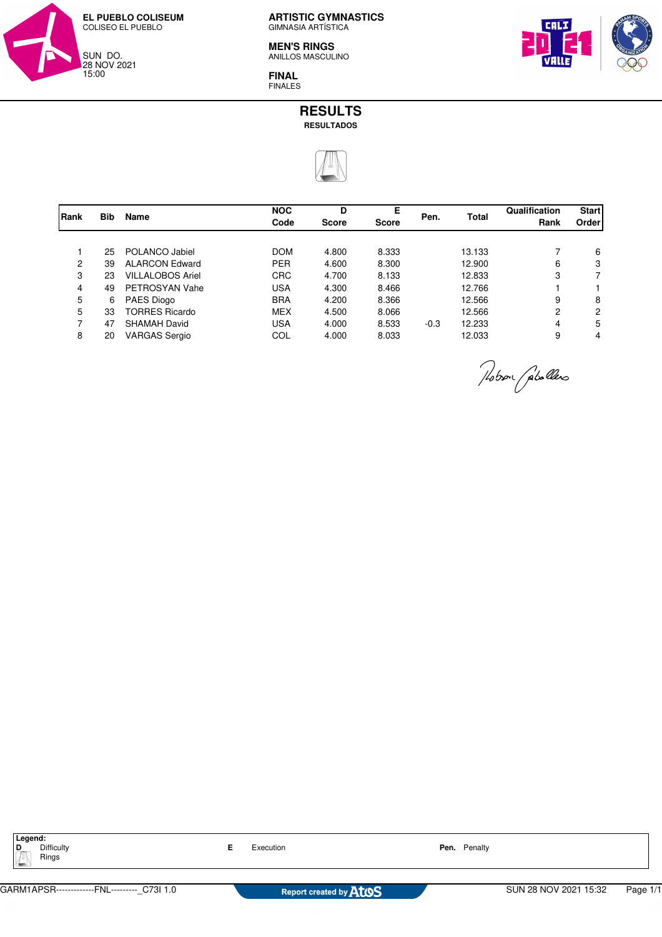

**MEN'S RINGS** ANILLOS MASCULINO

**FINAL** FINALES



| Rank           |            | <b>Name</b>             | <b>NOC</b> | D            | Е            |        | <b>Total</b> | Qualification | <b>Start</b> |
|----------------|------------|-------------------------|------------|--------------|--------------|--------|--------------|---------------|--------------|
|                | <b>Bib</b> |                         | Code       | <b>Score</b> | <b>Score</b> | Pen.   |              | Rank          | Order        |
|                |            |                         |            |              |              |        |              |               |              |
|                | 25         | POLANCO Jabiel          | <b>DOM</b> | 4.800        | 8.333        |        | 13.133       |               | 6            |
| 2              | 39         | <b>ALARCON Edward</b>   | <b>PER</b> | 4.600        | 8.300        |        | 12.900       | 6             | 3            |
| 3              | 23         | <b>VILLALOBOS Ariel</b> | <b>CRC</b> | 4.700        | 8.133        |        | 12.833       | 3             |              |
| 4              | 49         | PETROSYAN Vahe          | <b>USA</b> | 4.300        | 8.466        |        | 12.766       |               |              |
| 5              | 6          | PAES Diogo              | <b>BRA</b> | 4.200        | 8.366        |        | 12.566       | 9             | 8            |
| 5              | 33         | <b>TORRES Ricardo</b>   | <b>MEX</b> | 4.500        | 8.066        |        | 12.566       | 2             | 2            |
| $\overline{ }$ | 47         | <b>SHAMAH David</b>     | <b>USA</b> | 4.000        | 8.533        | $-0.3$ | 12.233       | 4             | 5            |
| 8              | 20         | <b>VARGAS Sergio</b>    | COL        | 4.000        | 8.033        |        | 12.033       | 9             | 4            |

Hobson (plallers

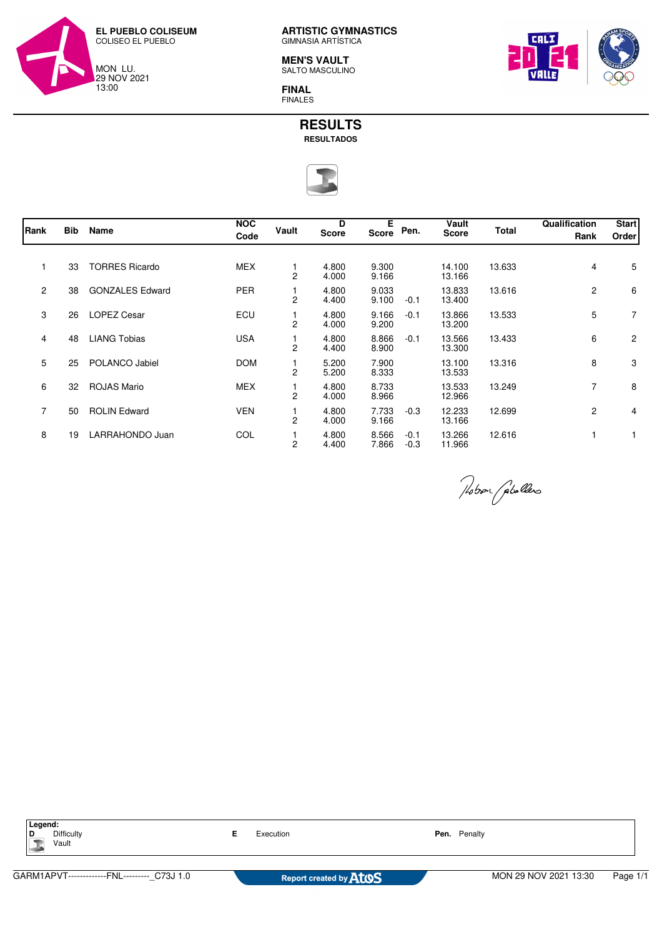

**MEN'S VAULT** SALTO MASCULINO







| Rank           | <b>Bib</b> | Name                   | <b>NOC</b><br>Code | Vault          | D<br><b>Score</b> | Е<br>Score     | Pen.             | Vault<br><b>Score</b> | <b>Total</b> | Qualification<br>Rank | <b>Start</b><br>Order |
|----------------|------------|------------------------|--------------------|----------------|-------------------|----------------|------------------|-----------------------|--------------|-----------------------|-----------------------|
|                | 33         | <b>TORRES Ricardo</b>  | <b>MEX</b>         | 2              | 4.800<br>4.000    | 9.300<br>9.166 |                  | 14.100<br>13.166      | 13.633       | $\overline{4}$        | 5                     |
| $\mathbf{2}$   | 38         | <b>GONZALES Edward</b> | <b>PER</b>         | 2              | 4.800<br>4.400    | 9.033<br>9.100 | $-0.1$           | 13.833<br>13.400      | 13.616       | $\mathbf{2}^{\prime}$ | 6                     |
| 3              | 26         | <b>LOPEZ Cesar</b>     | ECU                | 2              | 4.800<br>4.000    | 9.166<br>9.200 | $-0.1$           | 13.866<br>13.200      | 13.533       | 5                     | $\overline{7}$        |
| 4              | 48         | <b>LIANG Tobias</b>    | <b>USA</b>         | 2              | 4.800<br>4.400    | 8.866<br>8.900 | $-0.1$           | 13.566<br>13.300      | 13.433       | 6                     | $\overline{2}$        |
| 5              | 25         | POLANCO Jabiel         | <b>DOM</b>         | 2              | 5.200<br>5.200    | 7.900<br>8.333 |                  | 13.100<br>13.533      | 13.316       | 8                     | 3                     |
| 6              | 32         | <b>ROJAS Mario</b>     | <b>MEX</b>         | 2              | 4.800<br>4.000    | 8.733<br>8.966 |                  | 13.533<br>12.966      | 13.249       | $\overline{7}$        | 8                     |
| $\overline{7}$ | 50         | <b>ROLIN Edward</b>    | <b>VEN</b>         | 2              | 4.800<br>4.000    | 7.733<br>9.166 | $-0.3$           | 12.233<br>13.166      | 12.699       | $\mathbf{2}$          | 4                     |
| 8              | 19         | LARRAHONDO Juan        | COL                | $\overline{c}$ | 4.800<br>4.400    | 8.566<br>7.866 | $-0.1$<br>$-0.3$ | 13.266<br>11.966      | 12.616       |                       |                       |

Nobor (pholles

| Legend:<br><b>Difficulty</b><br>י<br>Vault  |  | Execution                     |  | Penalty                           |  |  |
|---------------------------------------------|--|-------------------------------|--|-----------------------------------|--|--|
|                                             |  |                               |  |                                   |  |  |
| GARM1APVT-------------FNL--------- C73J 1.0 |  | Report created by <b>ATOS</b> |  | MON 29 NOV 2021 13:30<br>Page 1/1 |  |  |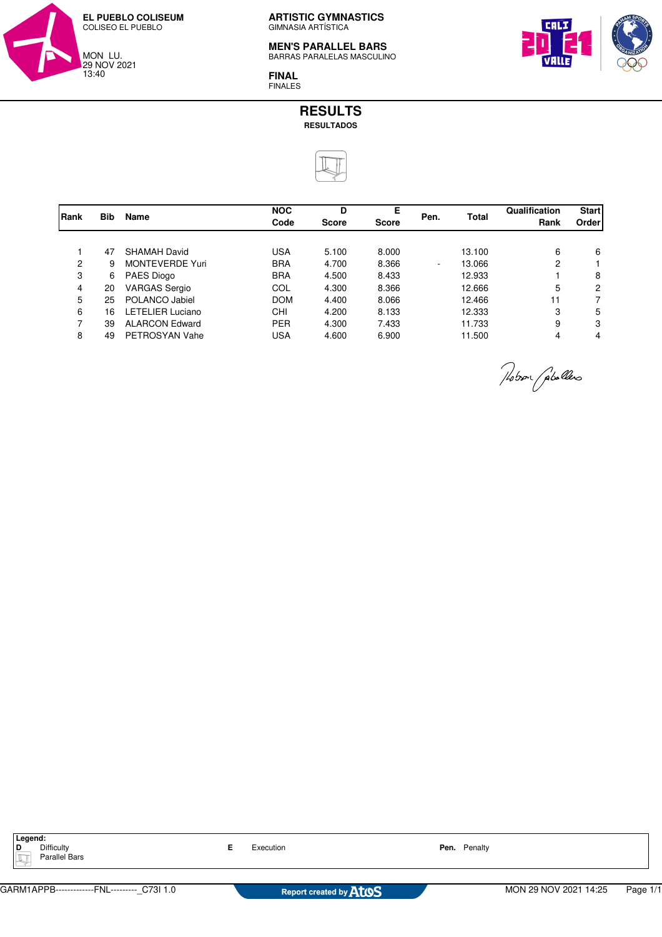

#### **MEN'S PARALLEL BARS** BARRAS PARALELAS MASCULINO

**FINAL** FINALES



| Qualification | <b>Start</b>   |  |
|---------------|----------------|--|
| Rank          | Order          |  |
|               |                |  |
| 6             | 6              |  |
| 2             |                |  |
|               | 8              |  |
| 5             | $\overline{2}$ |  |
| 11            |                |  |
| 3             | 5              |  |
| 9             | 3              |  |
| 4             | 4              |  |
|               |                |  |

Nobor Gobollero